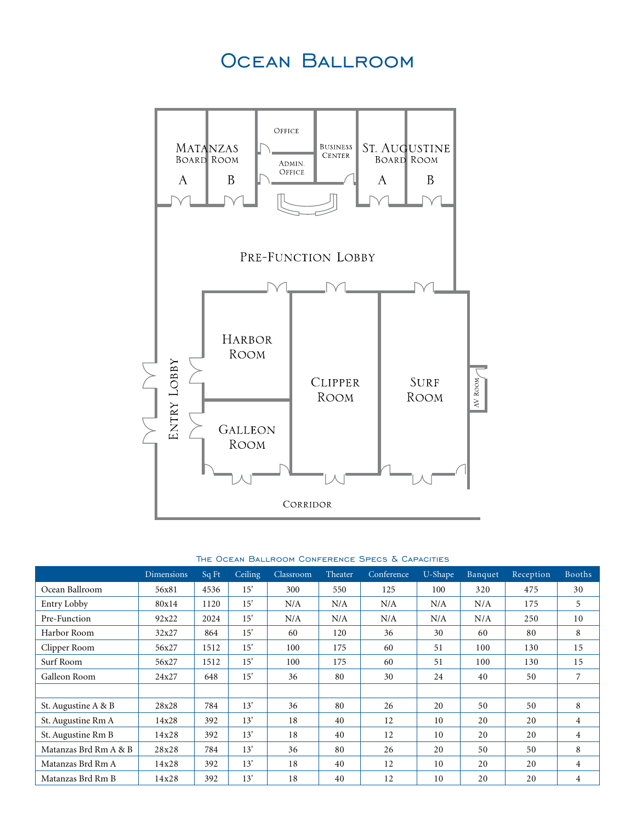### Ocean Ballroom



#### The Ocean Ballroom Conference Specs & Capacities

|                       | <b>Dimensions</b> | Sq Ft | Ceiling | Classroom | Theater | Conference | U-Shape | Banquet | Reception | <b>Booths</b>  |
|-----------------------|-------------------|-------|---------|-----------|---------|------------|---------|---------|-----------|----------------|
| Ocean Ballroom        | 56x81             | 4536  | 15'     | 300       | 550     | 125        | 100     | 320     | 475       | 30             |
| Entry Lobby           | 80x14             | 1120  | 15'     | N/A       | N/A     | N/A        | N/A     | N/A     | 175       | 5              |
| Pre-Function          | 92x22             | 2024  | 15'     | N/A       | N/A     | N/A        | N/A     | N/A     | 250       | 10             |
| Harbor Room           | 32x27             | 864   | 15'     | 60        | 120     | 36         | 30      | 60      | 80        | 8              |
| Clipper Room          | 56x27             | 1512  | 15'     | 100       | 175     | 60         | 51      | 100     | 130       | 15             |
| Surf Room             | 56x27             | 1512  | 15'     | 100       | 175     | 60         | 51      | 100     | 130       | 15             |
| Galleon Room          | 24x27             | 648   | 15'     | 36        | 80      | 30         | 24      | 40      | 50        | 7              |
|                       |                   |       |         |           |         |            |         |         |           |                |
| St. Augustine A & B   | 28x28             | 784   | 13'     | 36        | 80      | 26         | 20      | 50      | 50        | 8              |
| St. Augustine Rm A    | 14x28             | 392   | 13'     | 18        | 40      | 12         | 10      | 20      | 20        | $\overline{4}$ |
| St. Augustine Rm B    | 14x28             | 392   | 13'     | 18        | 40      | 12         | 10      | 20      | 20        | 4              |
| Matanzas Brd Rm A & B | 28x28             | 784   | 13'     | 36        | 80      | 26         | 20      | 50      | 50        | 8              |
| Matanzas Brd Rm A     | 14x28             | 392   | 13'     | 18        | 40      | 12         | 10      | 20      | 20        | $\overline{4}$ |
| Matanzas Brd Rm B     | 14x28             | 392   | 13'     | 18        | 40      | 12         | 10      | 20      | 20        | 4              |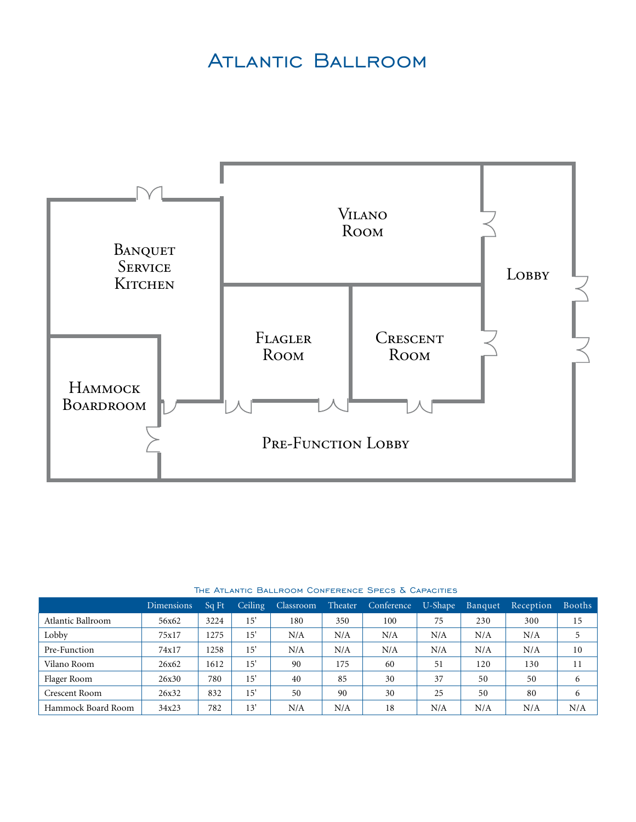### Atlantic Ballroom



|                    | <b>Dimensions</b> | Sq Ft | Ceiling      | <b>Classroom</b> | Theater | Conference | U-Shape | Banquet | Reception | Booths |
|--------------------|-------------------|-------|--------------|------------------|---------|------------|---------|---------|-----------|--------|
| Atlantic Ballroom  | 56x62             | 3224  | $15^{\circ}$ | 180              | 350     | 100        | 75      | 230     | 300       | 15     |
| Lobby              | 75x17             | 1275  | 15'          | N/A              | N/A     | N/A        | N/A     | N/A     | N/A       |        |
| Pre-Function       | 74x17             | 1258  | 15'          | N/A              | N/A     | N/A        | N/A     | N/A     | N/A       | 10     |
| Vilano Room        | 26x62             | 1612  | 15           | 90               | 175     | 60         | 51      | 120     | 130       | 11     |
| Flager Room        | 26x30             | 780   | 15'          | 40               | 85      | 30         | 37      | 50      | 50        | 6      |
| Crescent Room      | 26x32             | 832   | 15           | 50               | 90      | 30         | 25      | 50      | 80        | 6      |
| Hammock Board Room | 34x23             | 782   | 13           | N/A              | N/A     | 18         | N/A     | N/A     | N/A       | N/A    |

#### The Atlantic Ballroom Conference Specs & Capacities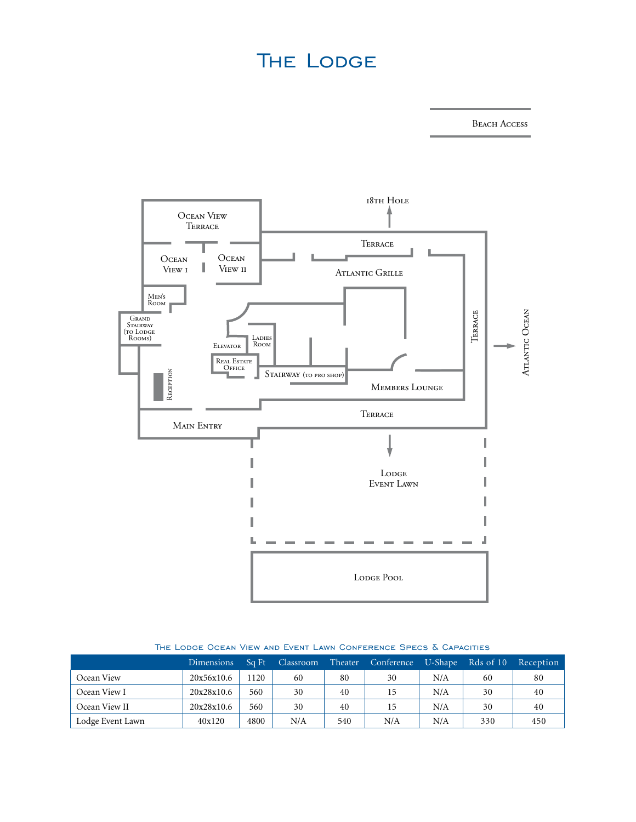# **THE LODGE**

Beach Access



#### The Lodge Ocean View and Event Lawn Conference Specs & Capacities

|                  | <b>Dimensions</b> | Sq Ft | Classroom | Theater | Conference | U-Shape | Rds of 10 | Reception |
|------------------|-------------------|-------|-----------|---------|------------|---------|-----------|-----------|
| Ocean View       | 20x56x10.6        | 1120  | 60        | 80      | 30         | N/A     | 60        | 80        |
| Ocean View I     | 20x28x10.6        | 560   | 30        | 40      | 15         | N/A     | 30        | 40        |
| Ocean View II    | 20x28x10.6        | 560   | 30        | 40      | 15         | N/A     | 30        | 40        |
| Lodge Event Lawn | 40x120            | 4800  | N/A       | 540     | N/A        | N/A     | 330       | 450       |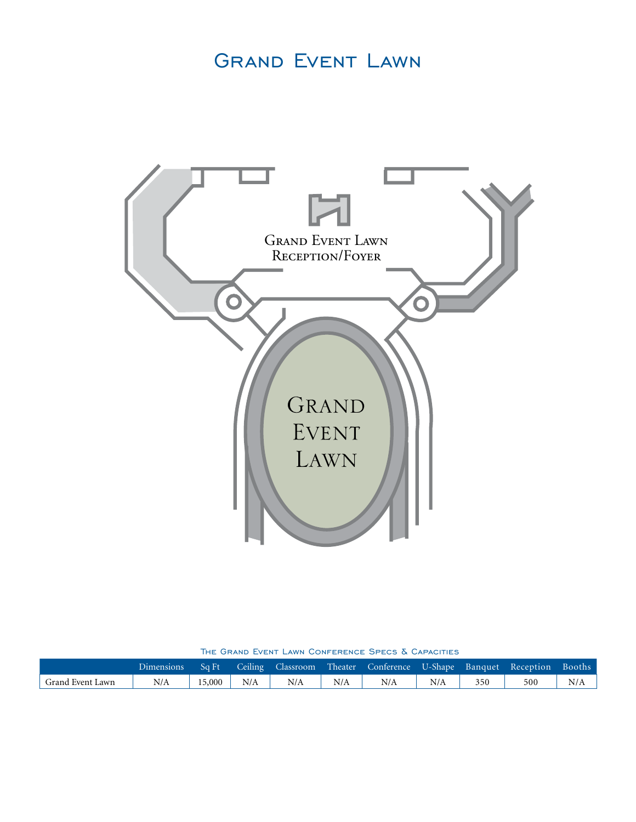# Grand Event Lawn



The Grand Event Lawn Conference Specs & Capacities

|                  | Dimensions   Sq Ft   Ceiling   Classroom   Theater   Conference   U-Shape   Banquet   Reception   Booths |              |     |     |       |     |     |     |     |
|------------------|----------------------------------------------------------------------------------------------------------|--------------|-----|-----|-------|-----|-----|-----|-----|
| Grand Event Lawn | N/A                                                                                                      | $15,000$ N/A | N/A | N/A | $N/A$ | N/A | 350 | 500 | N/A |